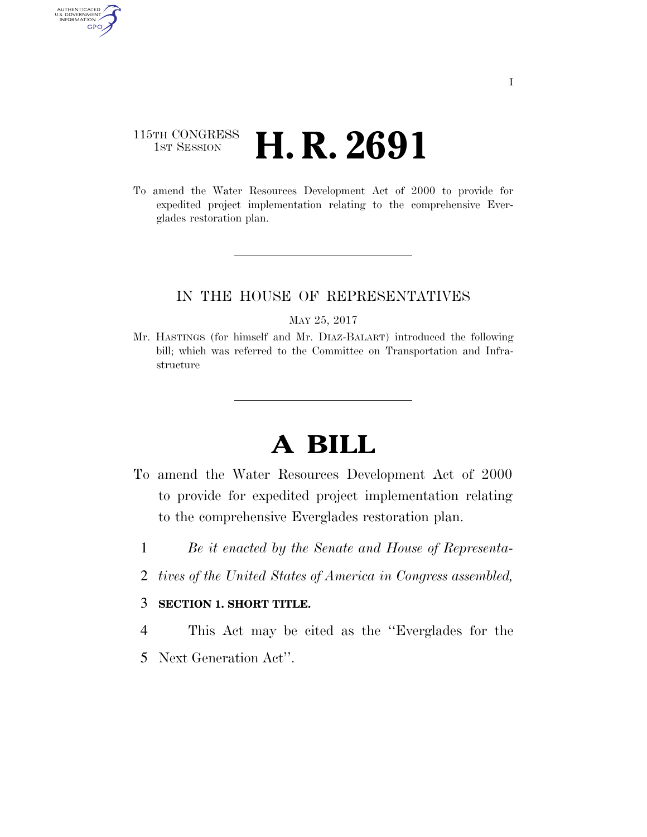### 115TH CONGRESS **1st Session H. R. 2691**

AUTHENTICATED<br>U.S. GOVERNMENT<br>INFORMATION GPO

> To amend the Water Resources Development Act of 2000 to provide for expedited project implementation relating to the comprehensive Everglades restoration plan.

### IN THE HOUSE OF REPRESENTATIVES

MAY 25, 2017

Mr. HASTINGS (for himself and Mr. DIAZ-BALART) introduced the following bill; which was referred to the Committee on Transportation and Infrastructure

# **A BILL**

- To amend the Water Resources Development Act of 2000 to provide for expedited project implementation relating to the comprehensive Everglades restoration plan.
	- 1 *Be it enacted by the Senate and House of Representa-*
	- 2 *tives of the United States of America in Congress assembled,*

#### 3 **SECTION 1. SHORT TITLE.**

- 4 This Act may be cited as the ''Everglades for the
- 5 Next Generation Act''.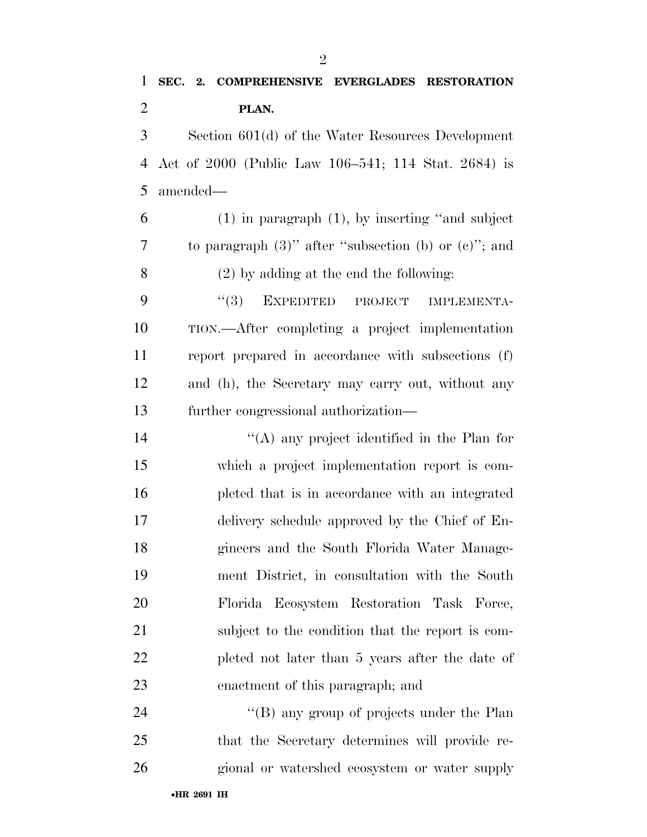## **SEC. 2. COMPREHENSIVE EVERGLADES RESTORATION PLAN.**

 Section 601(d) of the Water Resources Development Act of 2000 (Public Law 106–541; 114 Stat. 2684) is amended—

 (1) in paragraph (1), by inserting ''and subject to paragraph (3)'' after ''subsection (b) or (c)''; and (2) by adding at the end the following:

9 "(3) EXPEDITED PROJECT IMPLEMENTA- TION.—After completing a project implementation report prepared in accordance with subsections (f) and (h), the Secretary may carry out, without any further congressional authorization—

 ''(A) any project identified in the Plan for which a project implementation report is com- pleted that is in accordance with an integrated delivery schedule approved by the Chief of En- gineers and the South Florida Water Manage- ment District, in consultation with the South Florida Ecosystem Restoration Task Force, subject to the condition that the report is com- pleted not later than 5 years after the date of enactment of this paragraph; and

24 ''(B) any group of projects under the Plan that the Secretary determines will provide re-gional or watershed ecosystem or water supply